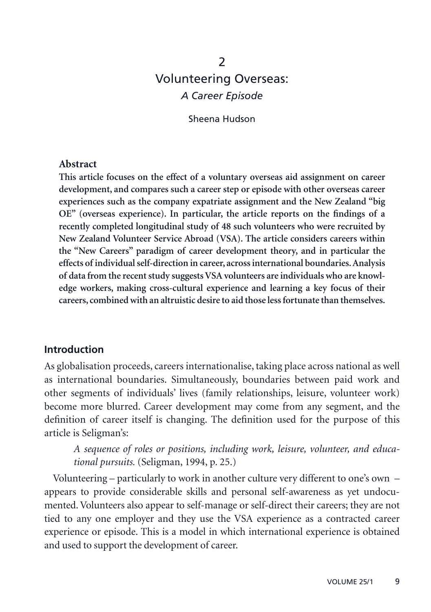# $\mathcal{P}$ Volunteering Overseas: *A Career Episode*

Sheena Hudson

#### **Abstract**

**This article focuses on the effect of a voluntary overseas aid assignment on career development, and compares such a career step or episode with other overseas career experiences such as the company expatriate assignment and the New Zealand "big OE" (overseas experience). In particular, the article reports on the findings of a recently completed longitudinal study of 48 such volunteers who were recruited by New Zealand Volunteer Service Abroad (VSA). The article considers careers within the "New Careers" paradigm of career development theory, and in particular the effects of individual self-direction in career, across international boundaries. Analysis of data from the recent study suggests VSA volunteers are individuals who are knowledge workers, making cross-cultural experience and learning a key focus of their careers, combined with an altruistic desire to aid those less fortunate than themselves.**

#### **Introduction**

As globalisation proceeds, careers internationalise, taking place across national as well as international boundaries. Simultaneously, boundaries between paid work and other segments of individuals' lives (family relationships, leisure, volunteer work) become more blurred. Career development may come from any segment, and the definition of career itself is changing. The definition used for the purpose of this article is Seligman's:

*A sequence of roles or positions, including work, leisure, volunteer, and educational pursuits.* (Seligman, 1994, p. 25.)

Volunteering – particularly to work in another culture very different to one's own – appears to provide considerable skills and personal self-awareness as yet undocumented. Volunteers also appear to self-manage or self-direct their careers; they are not tied to any one employer and they use the VSA experience as a contracted career experience or episode. This is a model in which international experience is obtained and used to support the development of career.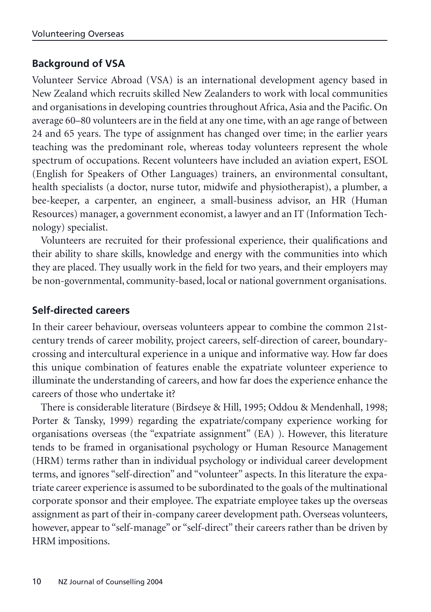### **Background of VSA**

Volunteer Service Abroad (VSA) is an international development agency based in New Zealand which recruits skilled New Zealanders to work with local communities and organisations in developing countries throughout Africa, Asia and the Pacific. On average 60–80 volunteers are in the field at any one time, with an age range of between 24 and 65 years. The type of assignment has changed over time; in the earlier years teaching was the predominant role, whereas today volunteers represent the whole spectrum of occupations. Recent volunteers have included an aviation expert, ESOL (English for Speakers of Other Languages) trainers, an environmental consultant, health specialists (a doctor, nurse tutor, midwife and physiotherapist), a plumber, a bee-keeper, a carpenter, an engineer, a small-business advisor, an HR (Human Resources) manager, a government economist, a lawyer and an IT (Information Technology) specialist.

Volunteers are recruited for their professional experience, their qualifications and their ability to share skills, knowledge and energy with the communities into which they are placed. They usually work in the field for two years, and their employers may be non-governmental, community-based, local or national government organisations.

### **Self-directed careers**

In their career behaviour, overseas volunteers appear to combine the common 21stcentury trends of career mobility, project careers, self-direction of career, boundarycrossing and intercultural experience in a unique and informative way. How far does this unique combination of features enable the expatriate volunteer experience to illuminate the understanding of careers, and how far does the experience enhance the careers of those who undertake it?

There is considerable literature (Birdseye & Hill, 1995; Oddou & Mendenhall, 1998; Porter & Tansky, 1999) regarding the expatriate/company experience working for organisations overseas (the "expatriate assignment" (EA) ). However, this literature tends to be framed in organisational psychology or Human Resource Management (HRM) terms rather than in individual psychology or individual career development terms, and ignores "self-direction" and "volunteer" aspects. In this literature the expatriate career experience is assumed to be subordinated to the goals of the multinational corporate sponsor and their employee. The expatriate employee takes up the overseas assignment as part of their in-company career development path. Overseas volunteers, however, appear to "self-manage" or "self-direct" their careers rather than be driven by HRM impositions.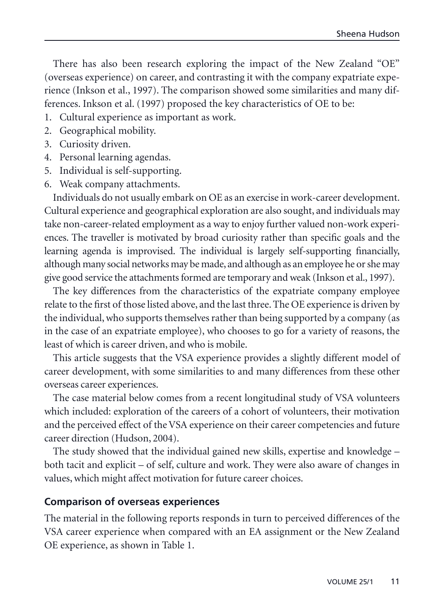There has also been research exploring the impact of the New Zealand "OE" (overseas experience) on career, and contrasting it with the company expatriate experience (Inkson et al., 1997). The comparison showed some similarities and many differences. Inkson et al. (1997) proposed the key characteristics of OE to be:

- 1. Cultural experience as important as work.
- 2. Geographical mobility.
- 3. Curiosity driven.
- 4. Personal learning agendas.
- 5. Individual is self-supporting.
- 6. Weak company attachments.

Individuals do not usually embark on OE as an exercise in work-career development. Cultural experience and geographical exploration are also sought, and individuals may take non-career-related employment as a way to enjoy further valued non-work experiences. The traveller is motivated by broad curiosity rather than specific goals and the learning agenda is improvised. The individual is largely self-supporting financially, although many social networks may be made, and although as an employee he or she may give good service the attachments formed are temporary and weak (Inkson et al., 1997).

The key differences from the characteristics of the expatriate company employee relate to the first of those listed above, and the last three. The OE experience is driven by the individual, who supports themselves rather than being supported by a company (as in the case of an expatriate employee), who chooses to go for a variety of reasons, the least of which is career driven, and who is mobile.

This article suggests that the VSA experience provides a slightly different model of career development, with some similarities to and many differences from these other overseas career experiences.

The case material below comes from a recent longitudinal study of VSA volunteers which included: exploration of the careers of a cohort of volunteers, their motivation and the perceived effect of the VSA experience on their career competencies and future career direction (Hudson, 2004).

The study showed that the individual gained new skills, expertise and knowledge – both tacit and explicit – of self, culture and work. They were also aware of changes in values, which might affect motivation for future career choices.

#### **Comparison of overseas experiences**

The material in the following reports responds in turn to perceived differences of the VSA career experience when compared with an EA assignment or the New Zealand OE experience, as shown in Table 1.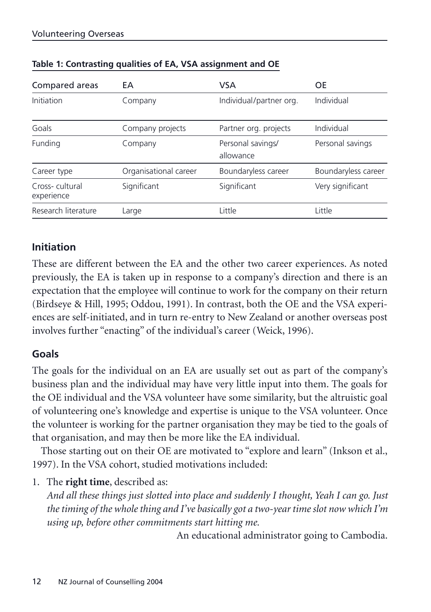| Compared areas               | EA                    | <b>VSA</b>                     | OE                  |
|------------------------------|-----------------------|--------------------------------|---------------------|
| Initiation                   | Company               | Individual/partner org.        | Individual          |
| Goals                        | Company projects      | Partner org. projects          | Individual          |
| Funding                      | Company               | Personal savings/<br>allowance | Personal savings    |
| Career type                  | Organisational career | Boundaryless career            | Boundaryless career |
| Cross-cultural<br>experience | Significant           | Significant                    | Very significant    |
| Research literature          | Large                 | Little                         | Little              |

#### **Table 1: Contrasting qualities of EA, VSA assignment and OE**

### **Initiation**

These are different between the EA and the other two career experiences. As noted previously, the EA is taken up in response to a company's direction and there is an expectation that the employee will continue to work for the company on their return (Birdseye & Hill, 1995; Oddou, 1991). In contrast, both the OE and the VSA experiences are self-initiated, and in turn re-entry to New Zealand or another overseas post involves further "enacting" of the individual's career (Weick, 1996).

### **Goals**

The goals for the individual on an EA are usually set out as part of the company's business plan and the individual may have very little input into them. The goals for the OE individual and the VSA volunteer have some similarity, but the altruistic goal of volunteering one's knowledge and expertise is unique to the VSA volunteer. Once the volunteer is working for the partner organisation they may be tied to the goals of that organisation, and may then be more like the EA individual.

Those starting out on their OE are motivated to "explore and learn" (Inkson et al., 1997). In the VSA cohort, studied motivations included:

1. The **right time**, described as:

*And all these things just slotted into place and suddenly I thought, Yeah I can go. Just the timing of the whole thing and I've basically got a two-year time slot now which I'm using up, before other commitments start hitting me.*

An educational administrator going to Cambodia.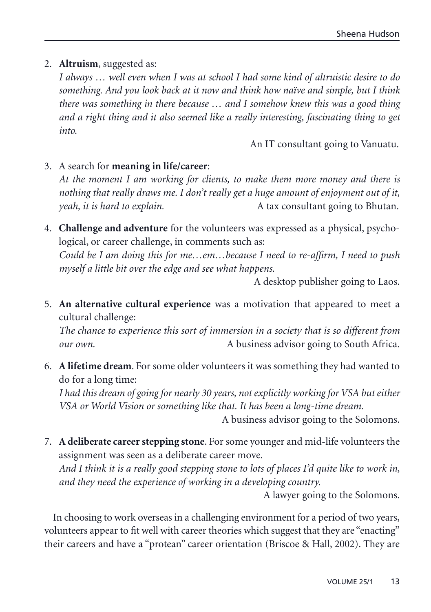#### 2. **Altruism**, suggested as:

*I always … well even when I was at school I had some kind of altruistic desire to do something. And you look back at it now and think how naïve and simple, but I think there was something in there because … and I somehow knew this was a good thing and a right thing and it also seemed like a really interesting, fascinating thing to get into.*

An IT consultant going to Vanuatu.

#### 3. A search for **meaning in life/career**:

*At the moment I am working for clients, to make them more money and there is nothing that really draws me. I don't really get a huge amount of enjoyment out of it, yeah, it is hard to explain.* A tax consultant going to Bhutan.

4. **Challenge and adventure** for the volunteers was expressed as a physical, psychological, or career challenge, in comments such as: *Could be I am doing this for me…em…because I need to re-affirm, I need to push myself a little bit over the edge and see what happens.*

A desktop publisher going to Laos.

5. **An alternative cultural experience** was a motivation that appeared to meet a cultural challenge:

*The chance to experience this sort of immersion in a society that is so different from our own.* A business advisor going to South Africa.

6. **A lifetime dream**. For some older volunteers it was something they had wanted to do for a long time:

*I had this dream of going for nearly 30 years, not explicitly working for VSA but either VSA or World Vision or something like that. It has been a long-time dream.*

A business advisor going to the Solomons.

7. **A deliberate career stepping stone**. For some younger and mid-life volunteers the assignment was seen as a deliberate career move.

*And I think it is a really good stepping stone to lots of places I'd quite like to work in, and they need the experience of working in a developing country.*

A lawyer going to the Solomons.

In choosing to work overseas in a challenging environment for a period of two years, volunteers appear to fit well with career theories which suggest that they are "enacting" their careers and have a "protean" career orientation (Briscoe & Hall, 2002). They are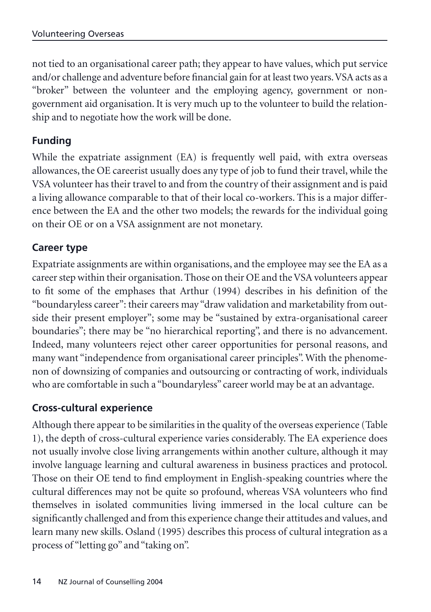not tied to an organisational career path; they appear to have values, which put service and/or challenge and adventure before financial gain for at least two years.VSA acts as a "broker" between the volunteer and the employing agency, government or nongovernment aid organisation. It is very much up to the volunteer to build the relationship and to negotiate how the work will be done.

## **Funding**

While the expatriate assignment (EA) is frequently well paid, with extra overseas allowances, the OE careerist usually does any type of job to fund their travel, while the VSA volunteer has their travel to and from the country of their assignment and is paid a living allowance comparable to that of their local co-workers. This is a major difference between the EA and the other two models; the rewards for the individual going on their OE or on a VSA assignment are not monetary.

### **Career type**

Expatriate assignments are within organisations, and the employee may see the EA as a career step within their organisation. Those on their OE and the VSA volunteers appear to fit some of the emphases that Arthur (1994) describes in his definition of the "boundaryless career": their careers may "draw validation and marketability from outside their present employer"; some may be "sustained by extra-organisational career boundaries"; there may be "no hierarchical reporting", and there is no advancement. Indeed, many volunteers reject other career opportunities for personal reasons, and many want "independence from organisational career principles". With the phenomenon of downsizing of companies and outsourcing or contracting of work, individuals who are comfortable in such a "boundaryless" career world may be at an advantage.

### **Cross-cultural experience**

Although there appear to be similarities in the quality of the overseas experience (Table 1), the depth of cross-cultural experience varies considerably. The EA experience does not usually involve close living arrangements within another culture, although it may involve language learning and cultural awareness in business practices and protocol. Those on their OE tend to find employment in English-speaking countries where the cultural differences may not be quite so profound, whereas VSA volunteers who find themselves in isolated communities living immersed in the local culture can be significantly challenged and from this experience change their attitudes and values, and learn many new skills. Osland (1995) describes this process of cultural integration as a process of "letting go" and "taking on".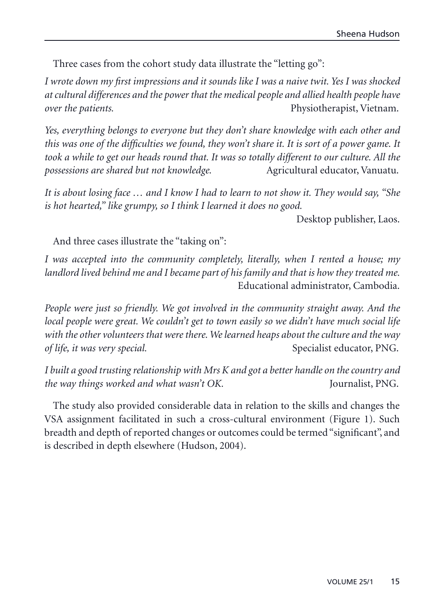Three cases from the cohort study data illustrate the "letting go":

*I wrote down my first impressions and it sounds like I was a naive twit. Yes I was shocked at cultural differences and the power that the medical people and allied health people have over the patients.* **Physiotherapist, Vietnam.** 

*Yes, everything belongs to everyone but they don't share knowledge with each other and this was one of the difficulties we found, they won't share it. It is sort of a power game. It took a while to get our heads round that. It was so totally different to our culture. All the possessions are shared but not knowledge.* Agricultural educator, Vanuatu.

*It is about losing face … and I know I had to learn to not show it. They would say, "She is hot hearted," like grumpy, so I think I learned it does no good.*

Desktop publisher, Laos.

And three cases illustrate the "taking on":

*I was accepted into the community completely, literally, when I rented a house; my landlord lived behind me and I became part of his family and that is how they treated me.* Educational administrator, Cambodia.

*People were just so friendly. We got involved in the community straight away. And the local people were great. We couldn't get to town easily so we didn't have much social life with the other volunteers that were there. We learned heaps about the culture and the way of life, it was very special.* Specialist educator, PNG.

*I built a good trusting relationship with Mrs K and got a better handle on the country and the way things worked and what wasn't OK.* Journalist, PNG.

The study also provided considerable data in relation to the skills and changes the VSA assignment facilitated in such a cross-cultural environment (Figure 1). Such breadth and depth of reported changes or outcomes could be termed "significant", and is described in depth elsewhere (Hudson, 2004).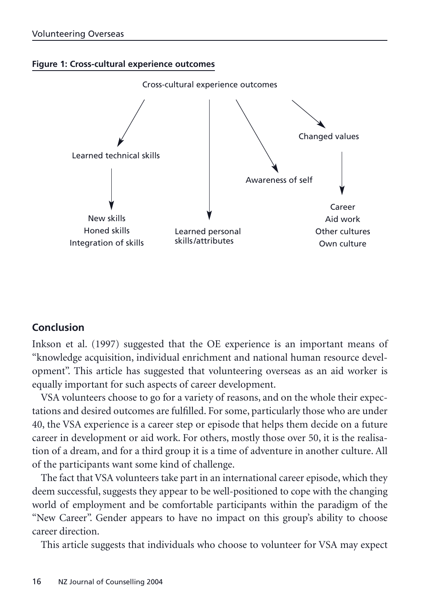



### **Conclusion**

Inkson et al. (1997) suggested that the OE experience is an important means of "knowledge acquisition, individual enrichment and national human resource development". This article has suggested that volunteering overseas as an aid worker is equally important for such aspects of career development.

VSA volunteers choose to go for a variety of reasons, and on the whole their expectations and desired outcomes are fulfilled. For some, particularly those who are under 40, the VSA experience is a career step or episode that helps them decide on a future career in development or aid work. For others, mostly those over 50, it is the realisation of a dream, and for a third group it is a time of adventure in another culture. All of the participants want some kind of challenge.

The fact that VSA volunteers take part in an international career episode, which they deem successful, suggests they appear to be well-positioned to cope with the changing world of employment and be comfortable participants within the paradigm of the "New Career". Gender appears to have no impact on this group's ability to choose career direction.

This article suggests that individuals who choose to volunteer for VSA may expect